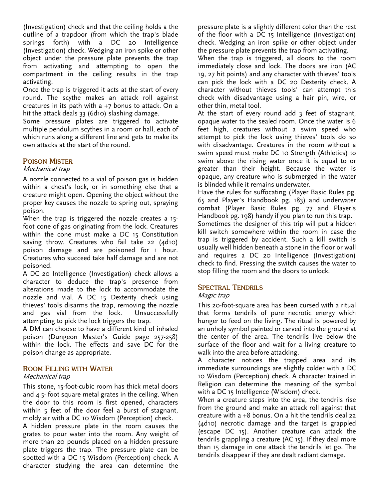(Investigation) check and that the ceiling holds a the outline of a trapdoor (from which the trap's blade springs forth) with a DC 20 Intelligence (Investigation) check. Wedging an iron spike or other object under the pressure plate prevents the trap from activating and attempting to open the compartment in the ceiling results in the trap activating.

Once the trap is triggered it acts at the start of every round. The scythe makes an attack roll against creatures in its path with  $a +7$  bonus to attack. On a hit the attack deals 33 (6d10) slashing damage.

Some pressure plates are triggered to activate multiple pendulum scythes in a room or hall, each of which runs along a different line and gets to make its own attacks at the start of the round.

## **POISON MISTER**

#### Mechanical trap

A nozzle connected to a vial of poison gas is hidden within a chest's lock, or in something else that a creature might open. Opening the object without the proper key causes the nozzle to spring out, spraying poison.

When the trap is triggered the nozzle creates a 15 foot cone of gas originating from the lock. Creatures within the cone must make a DC 15 Constitution saving throw. Creatures who fail take 22 (4d10) poison damage and are poisoned for 1 hour. Creatures who succeed take half damage and are not poisoned.

A DC 20 Intelligence (Investigation) check allows a character to deduce the trap's presence from alterations made to the lock to accommodate the nozzle and vial. A DC 15 Dexterity check using thieves' tools disarms the trap, removing the nozzle and gas vial from the lock. Unsuccessfully attempting to pick the lock triggers the trap.

A DM can choose to have a different kind of inhaled poison (Dungeon Master's Guide page 257-258) within the lock. The effects and save DC for the poison change as appropriate.

## **ROOM FILLING WITH WATER**

#### Mechanical trap

This stone, 15-foot-cubic room has thick metal doors and 4 5- foot square metal grates in the ceiling. When the door to this room is first opened, characters within 5 feet of the door feel a burst of stagnant, moldy air with a DC 10 Wisdom (Perception) check.

A hidden pressure plate in the room causes the grates to pour water into the room. Any weight of more than 20 pounds placed on a hidden pressure plate triggers the trap. The pressure plate can be spotted with a DC 15 Wisdom (Perception) check. A character studying the area can determine the

pressure plate is a slightly different color than the rest of the floor with a DC 15 Intelligence (Investigation) check. Wedging an iron spike or other object under the pressure plate prevents the trap from activating.

When the trap is triggered, all doors to the room immediately close and lock. The doors are iron (AC 19, 27 hit points) and any character with thieves' tools can pick the lock with a DC 20 Dexterity check. A character without thieves tools' can attempt this check with disadvantage using a hair pin, wire, or other thin, metal tool.

At the start of every round add 3 feet of stagnant, opaque water to the sealed room. Once the water is 6 feet high, creatures without a swim speed who attempt to pick the lock using thieves' tools do so with disadvantage. Creatures in the room without a swim speed must make DC 10 Strength (Athletics) to swim above the rising water once it is equal to or greater than their height. Because the water is opaque, any creature who is submerged in the water is blinded while it remains underwater.

Have the rules for suffocating (Player Basic Rules pg. 65 and Player's Handbook pg. 183) and underwater combat (Player Basic Rules pg. 77 and Player's Handbook pg. 198) handy if you plan to run this trap. Sometimes the designer of this trip will put a hidden kill switch somewhere within the room in case the trap is triggered by accident. Such a kill switch is usually well hidden beneath a stone in the floor or wall and requires a DC 20 Intelligence (Investigation) check to find. Pressing the switch causes the water to stop filling the room and the doors to unlock.

## **SPECTRAL TENDRILS**

## Magic trap

This 20-foot-square area has been cursed with a ritual that forms tendrils of pure necrotic energy which hunger to feed on the living. The ritual is powered by an unholy symbol painted or carved into the ground at the center of the area. The tendrils live below the surface of the floor and wait for a living creature to walk into the area before attacking.

A character notices the trapped area and its immediate surroundings are slightly colder with a DC 10 Wisdom (Perception) check. A character trained in Religion can determine the meaning of the symbol with a DC 15 Intelligence (Wisdom) check.

When a creature steps into the area, the tendrils rise from the ground and make an attack roll against that creature with a +8 bonus. On a hit the tendrils deal 22 (4d10) necrotic damage and the target is grappled (escape DC 15). Another creature can attack the tendrils grappling a creature (AC 15). If they deal more than 15 damage in one attack the tendrils let go. The tendrils disappear if they are dealt radiant damage.